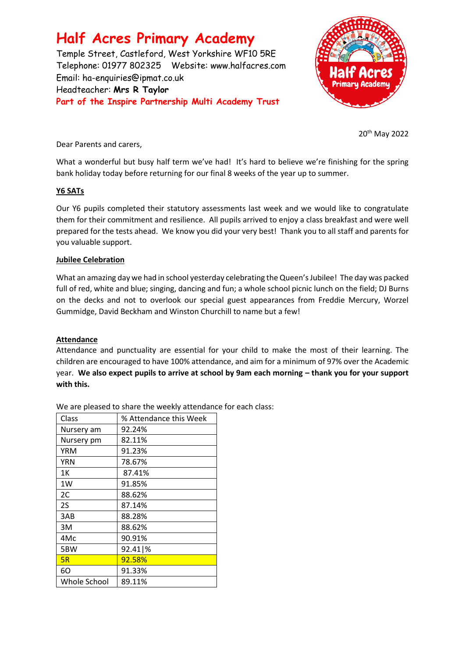# **Half Acres Primary Academy**

Temple Street, Castleford, West Yorkshire WF10 5RE Telephone: 01977 802325 Website: [www.halfacres.com](http://www.halfacres.com/) Email: ha-enquiries@ipmat.co.uk Headteacher: **Mrs R Taylor Part of the Inspire Partnership Multi Academy Trust**



20th May 2022

Dear Parents and carers,

What a wonderful but busy half term we've had! It's hard to believe we're finishing for the spring bank holiday today before returning for our final 8 weeks of the year up to summer.

# **Y6 SATs**

Our Y6 pupils completed their statutory assessments last week and we would like to congratulate them for their commitment and resilience. All pupils arrived to enjoy a class breakfast and were well prepared for the tests ahead. We know you did your very best! Thank you to all staff and parents for you valuable support.

# **Jubilee Celebration**

What an amazing day we had in school yesterday celebrating the Queen's Jubilee! The day was packed full of red, white and blue; singing, dancing and fun; a whole school picnic lunch on the field; DJ Burns on the decks and not to overlook our special guest appearances from Freddie Mercury, Worzel Gummidge, David Beckham and Winston Churchill to name but a few!

# **Attendance**

Attendance and punctuality are essential for your child to make the most of their learning. The children are encouraged to have 100% attendance, and aim for a minimum of 97% over the Academic year. We also expect pupils to arrive at school by 9am each morning - thank you for your support **with this.**

| Class        | % Attendance this Week |
|--------------|------------------------|
| Nursery am   | 92.24%                 |
| Nursery pm   | 82.11%                 |
| YRM          | 91.23%                 |
| <b>YRN</b>   | 78.67%                 |
| 1Κ           | 87.41%                 |
| 1W           | 91.85%                 |
| 2C           | 88.62%                 |
| 2S           | 87.14%                 |
| 3AB          | 88.28%                 |
| 3M           | 88.62%                 |
| 4Mc          | 90.91%                 |
| 5BW          | 92.41   %              |
| 5R           | 92.58%                 |
| 60           | 91.33%                 |
| Whole School | 89.11%                 |

We are pleased to share the weekly attendance for each class: